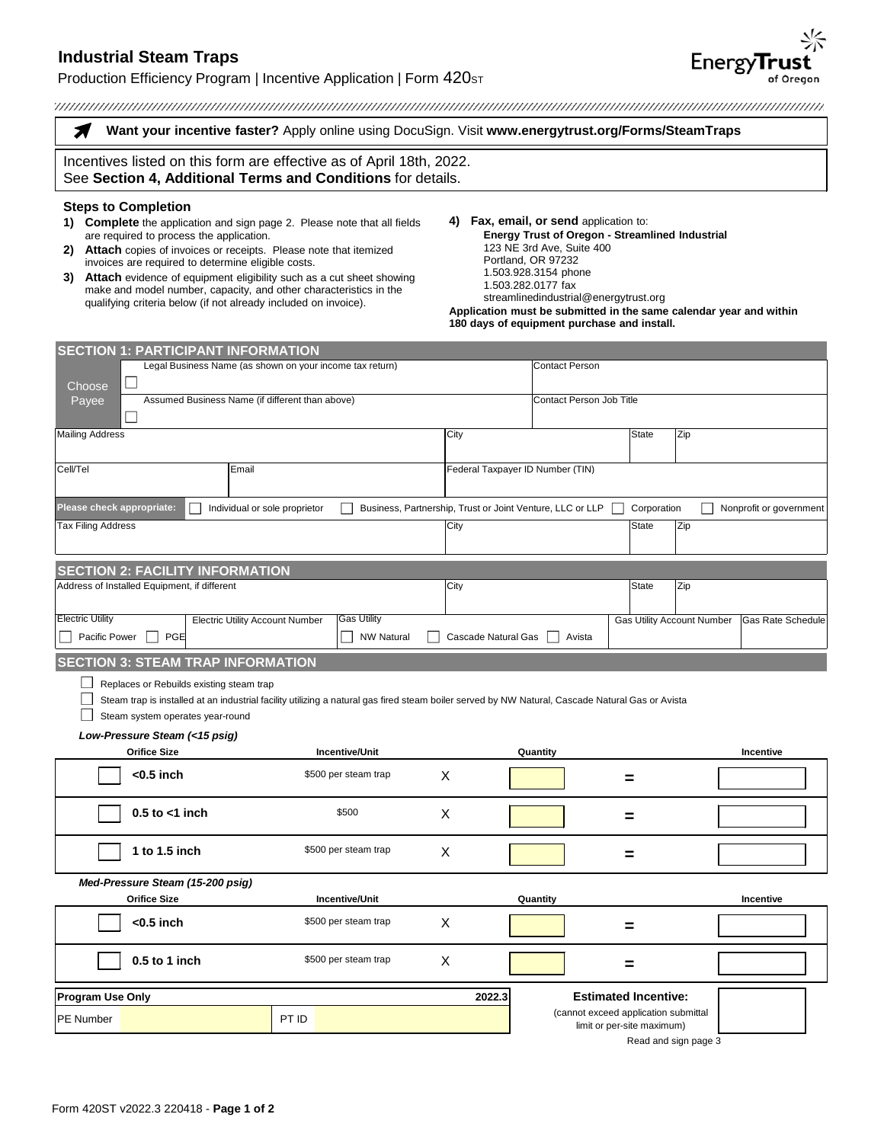# **Industrial Steam Traps**

# Production Efficiency Program | Incentive Application | Form 420st

**Want your incentive faster?** Apply online using DocuSign. Visit **[www.energytrust.org/Forms/SteamTraps](https://www.energytrust.org/Forms/SteamTraps)**

Incentives listed on this form are effective as of April 18th, 2022. See **Section 4, Additional Terms and Conditions** for details.

#### **Steps to Completion**

Я

- **1) Complete** the application and sign page 2. Please note that all fields are required to process the application.
- **2) Attach** copies of invoices or receipts. Please note that itemized invoices are required to determine eligible costs.

**SECTION 1: PARTICIPANT INFORMATION**

- **3) Attach** evidence of equipment eligibility such as a cut sheet showing make and model number, capacity, and other characteristics in the qualifying criteria below (if not already included on invoice).
- **4) Fax, email, or send** application to: **Energy Trust of Oregon - Streamlined Industrial** 123 NE 3rd Ave, Suite 400 Portland, OR 97232 1.503.928.3154 phone 1.503.282.0177 fax streamlinedindustrial@energytrust.org

**Application must be submitted in the same calendar year and within 180 days of equipment purchase and install.** 

Read and sign page 3

| Legal Business Name (as shown on your income tax return)<br>$\overline{\phantom{a}}$<br>Choose |                                                                                                                                                                                                                                  |                               |                   |                                  | <b>Contact Person</b>                                     |                                                                    |     |                          |  |
|------------------------------------------------------------------------------------------------|----------------------------------------------------------------------------------------------------------------------------------------------------------------------------------------------------------------------------------|-------------------------------|-------------------|----------------------------------|-----------------------------------------------------------|--------------------------------------------------------------------|-----|--------------------------|--|
| Payee                                                                                          | Assumed Business Name (if different than above)                                                                                                                                                                                  |                               |                   |                                  | Contact Person Job Title                                  |                                                                    |     |                          |  |
| <b>Mailing Address</b>                                                                         |                                                                                                                                                                                                                                  |                               |                   | City                             |                                                           | State                                                              | Zip |                          |  |
| Cell/Tel<br>Email                                                                              |                                                                                                                                                                                                                                  |                               |                   | Federal Taxpayer ID Number (TIN) |                                                           |                                                                    |     |                          |  |
| Please check appropriate:                                                                      |                                                                                                                                                                                                                                  | Individual or sole proprietor |                   |                                  | Business, Partnership, Trust or Joint Venture, LLC or LLP | Corporation                                                        |     | Nonprofit or government  |  |
| <b>Tax Filing Address</b>                                                                      |                                                                                                                                                                                                                                  |                               |                   | City                             |                                                           | <b>State</b>                                                       | Zip |                          |  |
|                                                                                                | <b>SECTION 2: FACILITY INFORMATION</b>                                                                                                                                                                                           |                               |                   |                                  |                                                           |                                                                    |     |                          |  |
| Address of Installed Equipment, if different                                                   |                                                                                                                                                                                                                                  |                               |                   | City                             |                                                           | State                                                              | Zip |                          |  |
| <b>Electric Utility</b><br>Pacific Power                                                       | <b>Electric Utility Account Number</b><br>PGE                                                                                                                                                                                    | <b>Gas Utility</b>            | <b>NW Natural</b> | Cascade Natural Gas              | Avista                                                    | <b>Gas Utility Account Number</b>                                  |     | <b>Gas Rate Schedule</b> |  |
|                                                                                                | <b>SECTION 3: STEAM TRAP INFORMATION</b>                                                                                                                                                                                         |                               |                   |                                  |                                                           |                                                                    |     |                          |  |
|                                                                                                | Replaces or Rebuilds existing steam trap<br>Steam trap is installed at an industrial facility utilizing a natural gas fired steam boiler served by NW Natural, Cascade Natural Gas or Avista<br>Steam system operates year-round |                               |                   |                                  |                                                           |                                                                    |     |                          |  |
|                                                                                                | Low-Pressure Steam (<15 psig)<br><b>Orifice Size</b>                                                                                                                                                                             | <b>Incentive/Unit</b>         |                   |                                  | Quantity                                                  |                                                                    |     | Incentive                |  |
|                                                                                                | $<$ 0.5 inch                                                                                                                                                                                                                     | \$500 per steam trap          | X                 |                                  |                                                           |                                                                    |     |                          |  |
|                                                                                                | $0.5$ to $<$ 1 inch                                                                                                                                                                                                              | \$500                         | X                 |                                  |                                                           |                                                                    |     |                          |  |
|                                                                                                | 1 to 1.5 inch                                                                                                                                                                                                                    | \$500 per steam trap          | X                 |                                  |                                                           | =                                                                  |     |                          |  |
|                                                                                                | Med-Pressure Steam (15-200 psig)                                                                                                                                                                                                 |                               |                   |                                  |                                                           |                                                                    |     |                          |  |
|                                                                                                | <b>Orifice Size</b>                                                                                                                                                                                                              | <b>Incentive/Unit</b>         |                   |                                  | Quantity                                                  |                                                                    |     | Incentive                |  |
|                                                                                                | $<$ 0.5 inch                                                                                                                                                                                                                     | \$500 per steam trap          | X                 |                                  |                                                           | =                                                                  |     |                          |  |
|                                                                                                | $0.5$ to 1 inch                                                                                                                                                                                                                  | \$500 per steam trap          | X                 |                                  |                                                           | =                                                                  |     |                          |  |
| <b>Program Use Only</b>                                                                        |                                                                                                                                                                                                                                  | 2022.3                        |                   | <b>Estimated Incentive:</b>      |                                                           |                                                                    |     |                          |  |
| PE Number                                                                                      |                                                                                                                                                                                                                                  | PT ID                         |                   |                                  |                                                           | (cannot exceed application submittal<br>limit or per-site maximum) |     |                          |  |